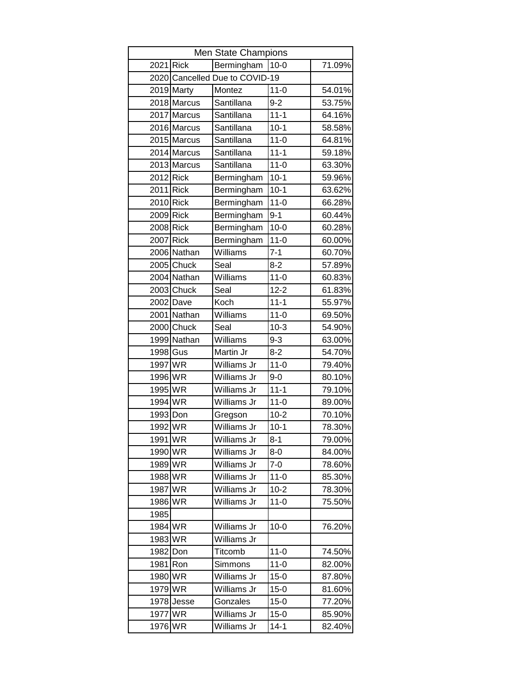| Men State Champions |             |                                |          |        |  |  |
|---------------------|-------------|--------------------------------|----------|--------|--|--|
| 2021                | <b>Rick</b> | Bermingham                     | $10 - 0$ | 71.09% |  |  |
|                     |             | 2020 Cancelled Due to COVID-19 |          |        |  |  |
|                     | 2019 Marty  | Montez                         | $11 - 0$ | 54.01% |  |  |
|                     | 2018 Marcus | Santillana                     | $9 - 2$  | 53.75% |  |  |
|                     | 2017 Marcus | Santillana                     | $11 - 1$ | 64.16% |  |  |
|                     | 2016 Marcus | Santillana                     | $10-1$   | 58.58% |  |  |
|                     | 2015 Marcus | Santillana                     | $11 - 0$ | 64.81% |  |  |
|                     | 2014 Marcus | Santillana                     | $11 - 1$ | 59.18% |  |  |
|                     | 2013 Marcus | Santillana                     | $11 - 0$ | 63.30% |  |  |
| 2012 Rick           |             | Bermingham                     | $10-1$   | 59.96% |  |  |
| 2011 Rick           |             | Bermingham                     | $10-1$   | 63.62% |  |  |
| 2010 Rick           |             | Bermingham                     | $11 - 0$ | 66.28% |  |  |
| 2009 Rick           |             | Bermingham                     | $9 - 1$  | 60.44% |  |  |
| 2008 Rick           |             | Bermingham                     | $10 - 0$ | 60.28% |  |  |
| 2007 Rick           |             | Bermingham                     | $11 - 0$ | 60.00% |  |  |
|                     | 2006 Nathan | Williams                       | $7 - 1$  | 60.70% |  |  |
|                     | 2005 Chuck  | Seal                           | $8 - 2$  | 57.89% |  |  |
|                     | 2004 Nathan | Williams                       | $11 - 0$ | 60.83% |  |  |
|                     | 2003 Chuck  | Seal                           | $12 - 2$ | 61.83% |  |  |
|                     | 2002 Dave   | Koch                           | $11 - 1$ | 55.97% |  |  |
|                     | 2001 Nathan | Williams                       | $11 - 0$ | 69.50% |  |  |
|                     | 2000 Chuck  | Seal                           | $10-3$   | 54.90% |  |  |
|                     | 1999 Nathan | Williams                       | $9 - 3$  | 63.00% |  |  |
| 1998 Gus            |             | Martin Jr                      | $8 - 2$  | 54.70% |  |  |
| 1997 WR             |             | Williams Jr                    | $11 - 0$ | 79.40% |  |  |
| 1996 WR             |             | Williams Jr                    | $9 - 0$  | 80.10% |  |  |
| 1995 WR             |             | Williams Jr                    | $11 - 1$ | 79.10% |  |  |
| 1994 WR             |             | Williams Jr                    | $11 - 0$ | 89.00% |  |  |
| 1993 Don            |             | Gregson                        | $10 - 2$ | 70.10% |  |  |
| 1992 WR             |             | Williams Jr                    | $10-1$   | 78.30% |  |  |
| 1991                | <b>WR</b>   | Williams Jr                    | $8 - 1$  | 79.00% |  |  |
| 1990                | <b>WR</b>   | Williams Jr                    | $8 - 0$  | 84.00% |  |  |
| 1989                | <b>WR</b>   | Williams Jr                    | $7 - 0$  | 78.60% |  |  |
| 1988 WR             |             | Williams Jr                    | $11-0$   | 85.30% |  |  |
| 1987                | <b>WR</b>   | Williams Jr                    | $10 - 2$ | 78.30% |  |  |
| 1986 WR             |             | Williams Jr                    | $11 - 0$ | 75.50% |  |  |
| 1985                |             |                                |          |        |  |  |
| 1984                | <b>WR</b>   | Williams Jr                    | $10 - 0$ | 76.20% |  |  |
| 1983 WR             |             | Williams Jr                    |          |        |  |  |
| 1982                | Don         | Titcomb                        | $11 - 0$ | 74.50% |  |  |
| 1981                | Ron         | Simmons                        | $11 - 0$ | 82.00% |  |  |
| 1980                | <b>WR</b>   | Williams Jr                    | $15 - 0$ | 87.80% |  |  |
| 1979 WR             |             | Williams Jr                    | $15 - 0$ | 81.60% |  |  |
| 1978                | Jesse       | Gonzales                       | $15 - 0$ | 77.20% |  |  |
| 1977                | <b>WR</b>   | Williams Jr                    | $15-0$   | 85.90% |  |  |
| 1976                | <b>WR</b>   | Williams Jr                    | $14 - 1$ | 82.40% |  |  |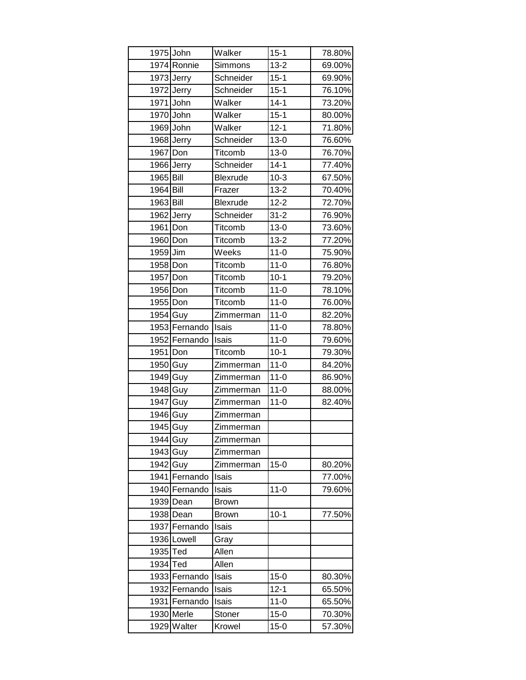|           | 1975 John     | Walker       | $15 - 1$ | 78.80% |
|-----------|---------------|--------------|----------|--------|
|           | 1974 Ronnie   | Simmons      | $13 - 2$ | 69.00% |
|           | 1973 Jerry    | Schneider    | $15 - 1$ | 69.90% |
|           | 1972 Jerry    | Schneider    | $15 - 1$ | 76.10% |
|           | 1971 John     | Walker       | $14-1$   | 73.20% |
|           | 1970 John     | Walker       | $15 - 1$ | 80.00% |
|           | 1969 John     | Walker       | $12 - 1$ | 71.80% |
|           | 1968 Jerry    | Schneider    | $13 - 0$ | 76.60% |
| 1967 Don  |               | Titcomb      | $13 - 0$ | 76.70% |
|           | 1966 Jerry    | Schneider    | $14 - 1$ | 77.40% |
| 1965 Bill |               | Blexrude     | $10-3$   | 67.50% |
| 1964 Bill |               | Frazer       | $13 - 2$ | 70.40% |
| 1963 Bill |               | Blexrude     | $12 - 2$ | 72.70% |
|           | 1962 Jerry    | Schneider    | $31 - 2$ | 76.90% |
| 1961 Don  |               | Titcomb      | $13 - 0$ | 73.60% |
| 1960 Don  |               | Titcomb      | $13 - 2$ | 77.20% |
| 1959 Jim  |               | Weeks        | $11 - 0$ | 75.90% |
| 1958 Don  |               | Titcomb      | $11 - 0$ | 76.80% |
| 1957 Don  |               | Titcomb      | $10-1$   | 79.20% |
| 1956 Don  |               | Titcomb      | $11 - 0$ | 78.10% |
| 1955 Don  |               | Titcomb      | $11 - 0$ | 76.00% |
| 1954 Guy  |               | Zimmerman    | $11 - 0$ | 82.20% |
|           | 1953 Fernando | Isais        | $11 - 0$ | 78.80% |
|           | 1952 Fernando | Isais        | $11 - 0$ | 79.60% |
| 1951 Don  |               | Titcomb      | $10-1$   | 79.30% |
| 1950 Guy  |               | Zimmerman    | $11 - 0$ | 84.20% |
| 1949 Guy  |               | Zimmerman    | $11 - 0$ | 86.90% |
| 1948 Guy  |               | Zimmerman    | $11 - 0$ | 88.00% |
| 1947 Guy  |               | Zimmerman    | $11 - 0$ | 82.40% |
| 1946 Guy  |               | Zimmerman    |          |        |
| 1945 Guy  |               | Zimmerman    |          |        |
| 1944 Guy  |               | Zimmerman    |          |        |
| 1943 Guy  |               | Zimmerman    |          |        |
| 1942 Guy  |               | Zimmerman    | $15-0$   | 80.20% |
|           | 1941 Fernando | Isais        |          | 77.00% |
|           | 1940 Fernando | Isais        | $11 - 0$ | 79.60% |
|           | 1939 Dean     | <b>Brown</b> |          |        |
|           | 1938 Dean     | <b>Brown</b> | $10-1$   | 77.50% |
|           | 1937 Fernando | Isais        |          |        |
|           | 1936 Lowell   | Gray         |          |        |
| 1935 Ted  |               | Allen        |          |        |
| 1934 Ted  |               | Allen        |          |        |
|           | 1933 Fernando | Isais        | $15 - 0$ | 80.30% |
|           | 1932 Fernando | Isais        | $12 - 1$ | 65.50% |
|           | 1931 Fernando | Isais        | $11 - 0$ | 65.50% |
|           | 1930 Merle    | Stoner       | $15 - 0$ | 70.30% |
|           | 1929 Walter   | Krowel       | $15 - 0$ | 57.30% |